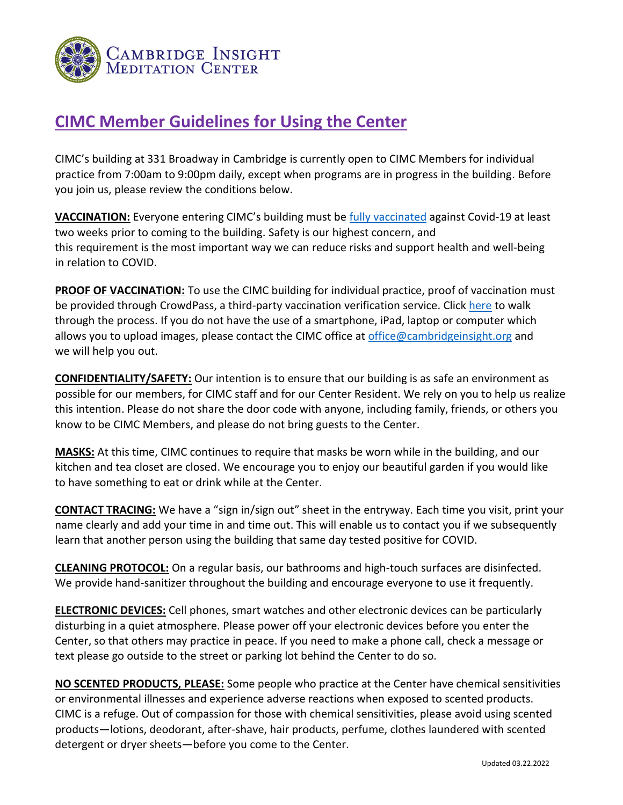

## **CIMC Member Guidelines for Using the Center**

CIMC's building at 331 Broadway in Cambridge is currently open to CIMC Members for individual practice from 7:00am to 9:00pm daily, except when programs are in progress in the building. Before you join us, please review the conditions below.

**VACCINATION:** Everyone entering CIMC's building must be [fully vaccinated](https://tinyurl.com/3puujt6x) against Covid-19 at least two weeks prior to coming to the building. Safety is our highest concern, and this requirement is the most important way we can reduce risks and support health and well-being in relation to COVID.

**PROOF OF VACCINATION:** To use the CIMC building for individual practice, proof of vaccination must be provided through CrowdPass, a third-party vaccination verification service. Click [here](https://cambridgeinsight.org/wp-content/uploads/Using-CrowdPass.pdf) to walk through the process. If you do not have the use of a smartphone, iPad, laptop or computer which allows you to upload images, please contact the CIMC office at [office@cambridgeinsight.org](mailto:office@cambridgeinsight.org) and we will help you out.

**CONFIDENTIALITY/SAFETY:** Our intention is to ensure that our building is as safe an environment as possible for our members, for CIMC staff and for our Center Resident. We rely on you to help us realize this intention. Please do not share the door code with anyone, including family, friends, or others you know to be CIMC Members, and please do not bring guests to the Center.

**MASKS:** At this time, CIMC continues to require that masks be worn while in the building, and our kitchen and tea closet are closed. We encourage you to enjoy our beautiful garden if you would like to have something to eat or drink while at the Center.

**CONTACT TRACING:** We have a "sign in/sign out" sheet in the entryway. Each time you visit, print your name clearly and add your time in and time out. This will enable us to contact you if we subsequently learn that another person using the building that same day tested positive for COVID.

**CLEANING PROTOCOL:** On a regular basis, our bathrooms and high-touch surfaces are disinfected. We provide hand-sanitizer throughout the building and encourage everyone to use it frequently.

**ELECTRONIC DEVICES:** Cell phones, smart watches and other electronic devices can be particularly disturbing in a quiet atmosphere. Please power off your electronic devices before you enter the Center, so that others may practice in peace. If you need to make a phone call, check a message or text please go outside to the street or parking lot behind the Center to do so.

**NO SCENTED PRODUCTS, PLEASE:** Some people who practice at the Center have chemical sensitivities or environmental illnesses and experience adverse reactions when exposed to scented products. CIMC is a refuge. Out of compassion for those with chemical sensitivities, please avoid using scented products—lotions, deodorant, after-shave, hair products, perfume, clothes laundered with scented detergent or dryer sheets—before you come to the Center.